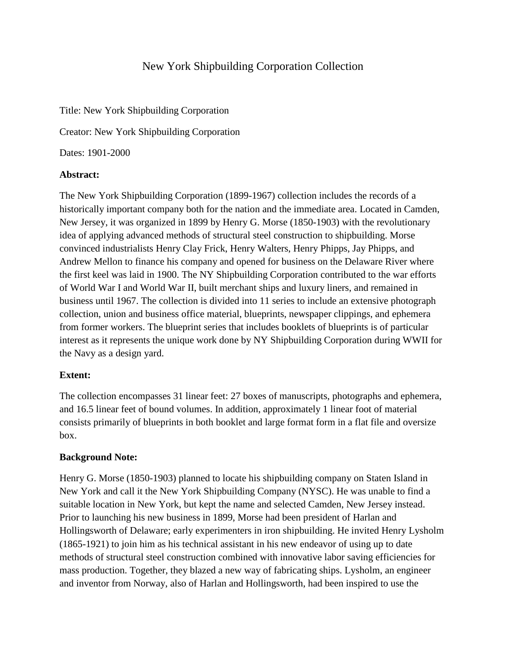# New York Shipbuilding Corporation Collection

Title: New York Shipbuilding Corporation

Creator: New York Shipbuilding Corporation

Dates: 1901-2000

#### **Abstract:**

The New York Shipbuilding Corporation (1899-1967) collection includes the records of a historically important company both for the nation and the immediate area. Located in Camden, New Jersey, it was organized in 1899 by Henry G. Morse (1850-1903) with the revolutionary idea of applying advanced methods of structural steel construction to shipbuilding. Morse convinced industrialists Henry Clay Frick, Henry Walters, Henry Phipps, Jay Phipps, and Andrew Mellon to finance his company and opened for business on the Delaware River where the first keel was laid in 1900. The NY Shipbuilding Corporation contributed to the war efforts of World War I and World War II, built merchant ships and luxury liners, and remained in business until 1967. The collection is divided into 11 series to include an extensive photograph collection, union and business office material, blueprints, newspaper clippings, and ephemera from former workers. The blueprint series that includes booklets of blueprints is of particular interest as it represents the unique work done by NY Shipbuilding Corporation during WWII for the Navy as a design yard.

## **Extent:**

The collection encompasses 31 linear feet: 27 boxes of manuscripts, photographs and ephemera, and 16.5 linear feet of bound volumes. In addition, approximately 1 linear foot of material consists primarily of blueprints in both booklet and large format form in a flat file and oversize box.

## **Background Note:**

Henry G. Morse (1850-1903) planned to locate his shipbuilding company on Staten Island in New York and call it the New York Shipbuilding Company (NYSC). He was unable to find a suitable location in New York, but kept the name and selected Camden, New Jersey instead. Prior to launching his new business in 1899, Morse had been president of Harlan and Hollingsworth of Delaware; early experimenters in iron shipbuilding. He invited Henry Lysholm (1865-1921) to join him as his technical assistant in his new endeavor of using up to date methods of structural steel construction combined with innovative labor saving efficiencies for mass production. Together, they blazed a new way of fabricating ships. Lysholm, an engineer and inventor from Norway, also of Harlan and Hollingsworth, had been inspired to use the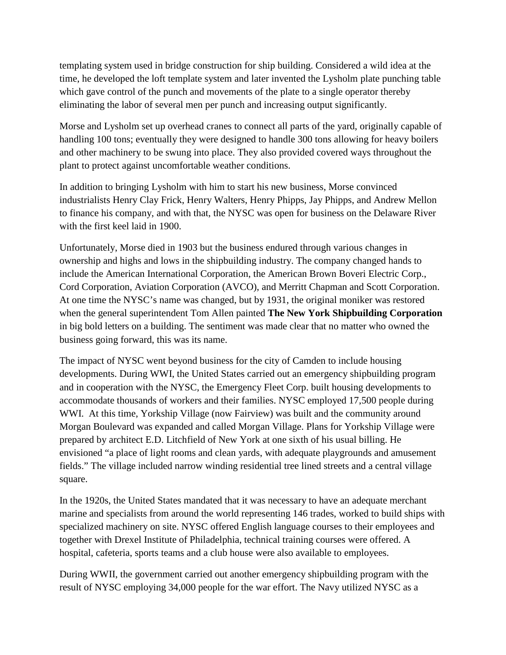templating system used in bridge construction for ship building. Considered a wild idea at the time, he developed the loft template system and later invented the Lysholm plate punching table which gave control of the punch and movements of the plate to a single operator thereby eliminating the labor of several men per punch and increasing output significantly.

Morse and Lysholm set up overhead cranes to connect all parts of the yard, originally capable of handling 100 tons; eventually they were designed to handle 300 tons allowing for heavy boilers and other machinery to be swung into place. They also provided covered ways throughout the plant to protect against uncomfortable weather conditions.

In addition to bringing Lysholm with him to start his new business, Morse convinced industrialists Henry Clay Frick, Henry Walters, Henry Phipps, Jay Phipps, and Andrew Mellon to finance his company, and with that, the NYSC was open for business on the Delaware River with the first keel laid in 1900.

Unfortunately, Morse died in 1903 but the business endured through various changes in ownership and highs and lows in the shipbuilding industry. The company changed hands to include the American International Corporation, the American Brown Boveri Electric Corp., Cord Corporation, Aviation Corporation (AVCO), and Merritt Chapman and Scott Corporation. At one time the NYSC's name was changed, but by 1931, the original moniker was restored when the general superintendent Tom Allen painted **The New York Shipbuilding Corporation**  in big bold letters on a building. The sentiment was made clear that no matter who owned the business going forward, this was its name.

The impact of NYSC went beyond business for the city of Camden to include housing developments. During WWI, the United States carried out an emergency shipbuilding program and in cooperation with the NYSC, the Emergency Fleet Corp. built housing developments to accommodate thousands of workers and their families. NYSC employed 17,500 people during WWI. At this time, Yorkship Village (now Fairview) was built and the community around Morgan Boulevard was expanded and called Morgan Village. Plans for Yorkship Village were prepared by architect E.D. Litchfield of New York at one sixth of his usual billing. He envisioned "a place of light rooms and clean yards, with adequate playgrounds and amusement fields." The village included narrow winding residential tree lined streets and a central village square.

In the 1920s, the United States mandated that it was necessary to have an adequate merchant marine and specialists from around the world representing 146 trades, worked to build ships with specialized machinery on site. NYSC offered English language courses to their employees and together with Drexel Institute of Philadelphia, technical training courses were offered. A hospital, cafeteria, sports teams and a club house were also available to employees.

During WWII, the government carried out another emergency shipbuilding program with the result of NYSC employing 34,000 people for the war effort. The Navy utilized NYSC as a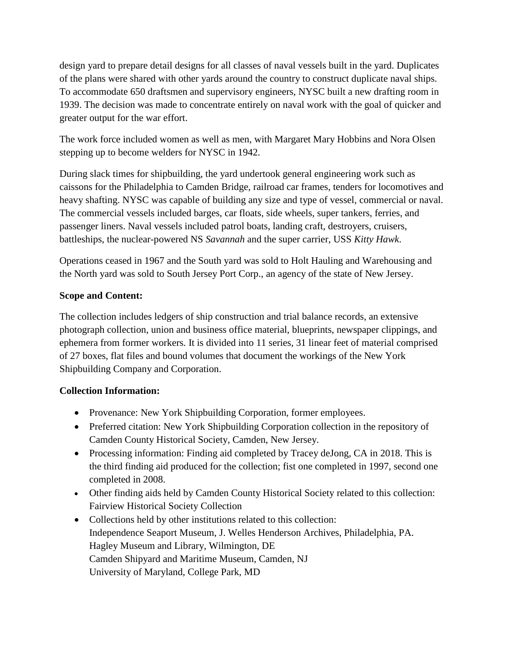design yard to prepare detail designs for all classes of naval vessels built in the yard. Duplicates of the plans were shared with other yards around the country to construct duplicate naval ships. To accommodate 650 draftsmen and supervisory engineers, NYSC built a new drafting room in 1939. The decision was made to concentrate entirely on naval work with the goal of quicker and greater output for the war effort.

The work force included women as well as men, with Margaret Mary Hobbins and Nora Olsen stepping up to become welders for NYSC in 1942.

During slack times for shipbuilding, the yard undertook general engineering work such as caissons for the Philadelphia to Camden Bridge, railroad car frames, tenders for locomotives and heavy shafting. NYSC was capable of building any size and type of vessel, commercial or naval. The commercial vessels included barges, car floats, side wheels, super tankers, ferries, and passenger liners. Naval vessels included patrol boats, landing craft, destroyers, cruisers, battleships, the nuclear-powered NS *Savannah* and the super carrier, USS *Kitty Hawk*.

Operations ceased in 1967 and the South yard was sold to Holt Hauling and Warehousing and the North yard was sold to South Jersey Port Corp., an agency of the state of New Jersey.

# **Scope and Content:**

The collection includes ledgers of ship construction and trial balance records, an extensive photograph collection, union and business office material, blueprints, newspaper clippings, and ephemera from former workers. It is divided into 11 series, 31 linear feet of material comprised of 27 boxes, flat files and bound volumes that document the workings of the New York Shipbuilding Company and Corporation.

## **Collection Information:**

- Provenance: New York Shipbuilding Corporation, former employees.
- Preferred citation: New York Shipbuilding Corporation collection in the repository of Camden County Historical Society, Camden, New Jersey.
- Processing information: Finding aid completed by Tracey deJong, CA in 2018. This is the third finding aid produced for the collection; fist one completed in 1997, second one completed in 2008.
- Other finding aids held by Camden County Historical Society related to this collection: Fairview Historical Society Collection
- Collections held by other institutions related to this collection: Independence Seaport Museum, J. Welles Henderson Archives, Philadelphia, PA. Hagley Museum and Library, Wilmington, DE Camden Shipyard and Maritime Museum, Camden, NJ University of Maryland, College Park, MD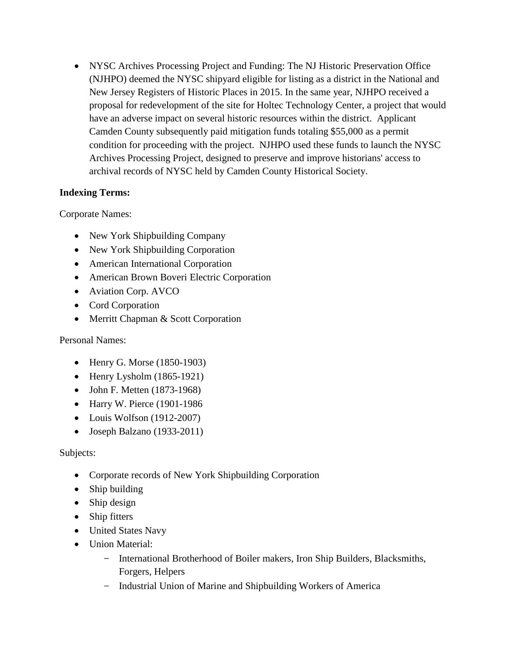• NYSC Archives Processing Project and Funding: The NJ Historic Preservation Office (NJHPO) deemed the NYSC shipyard eligible for listing as a district in the National and New Jersey Registers of Historic Places in 2015. In the same year, NJHPO received a proposal for redevelopment of the site for Holtec Technology Center, a project that would have an adverse impact on several historic resources within the district. Applicant Camden County subsequently paid mitigation funds totaling \$55,000 as a permit condition for proceeding with the project. NJHPO used these funds to launch the NYSC Archives Processing Project, designed to preserve and improve historians' access to archival records of NYSC held by Camden County Historical Society.

# **Indexing Terms:**

Corporate Names:

- New York Shipbuilding Company
- New York Shipbuilding Corporation
- American International Corporation
- American Brown Boveri Electric Corporation
- Aviation Corp. AVCO
- Cord Corporation
- Merritt Chapman & Scott Corporation

Personal Names:

- Henry G. Morse (1850-1903)
- Henry Lysholm (1865-1921)
- John F. Metten (1873-1968)
- Harry W. Pierce (1901-1986
- Louis Wolfson (1912-2007)
- Joseph Balzano (1933-2011)

# Subjects:

- Corporate records of New York Shipbuilding Corporation
- Ship building
- Ship design
- Ship fitters
- United States Navy
- Union Material:
	- − International Brotherhood of Boiler makers, Iron Ship Builders, Blacksmiths, Forgers, Helpers
	- − Industrial Union of Marine and Shipbuilding Workers of America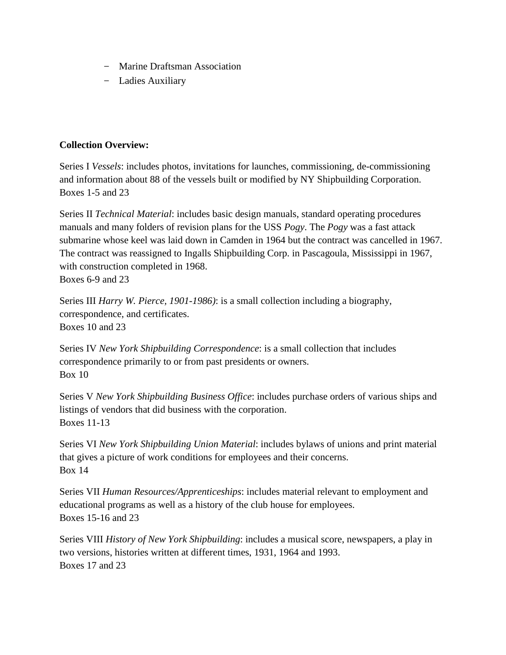- − Marine Draftsman Association
- − Ladies Auxiliary

## **Collection Overview:**

Series I *Vessels*: includes photos, invitations for launches, commissioning, de-commissioning and information about 88 of the vessels built or modified by NY Shipbuilding Corporation. Boxes 1-5 and 23

Series II *Technical Material*: includes basic design manuals, standard operating procedures manuals and many folders of revision plans for the USS *Pogy*. The *Pogy* was a fast attack submarine whose keel was laid down in Camden in 1964 but the contract was cancelled in 1967. The contract was reassigned to Ingalls Shipbuilding Corp. in Pascagoula, Mississippi in 1967, with construction completed in 1968.

Boxes 6-9 and 23

Series III *Harry W. Pierce, 1901-1986)*: is a small collection including a biography, correspondence, and certificates. Boxes 10 and 23

Series IV *New York Shipbuilding Correspondence*: is a small collection that includes correspondence primarily to or from past presidents or owners. Box 10

Series V *New York Shipbuilding Business Office*: includes purchase orders of various ships and listings of vendors that did business with the corporation. Boxes 11-13

Series VI *New York Shipbuilding Union Material*: includes bylaws of unions and print material that gives a picture of work conditions for employees and their concerns. Box 14

Series VII *Human Resources/Apprenticeships*: includes material relevant to employment and educational programs as well as a history of the club house for employees. Boxes 15-16 and 23

Series VIII *History of New York Shipbuilding*: includes a musical score, newspapers, a play in two versions, histories written at different times, 1931, 1964 and 1993. Boxes 17 and 23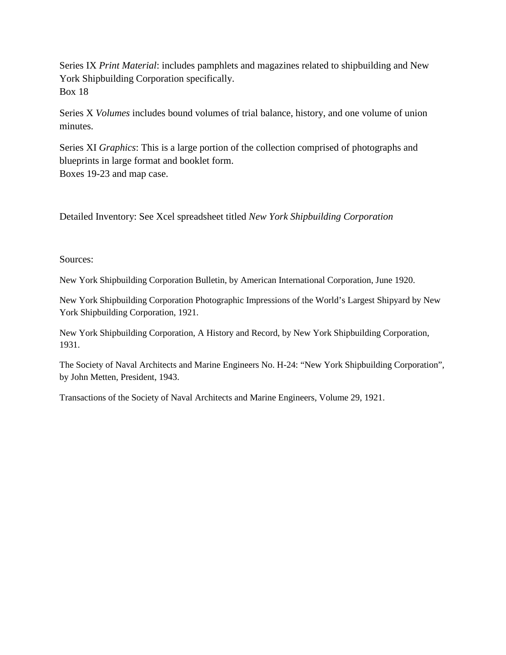Series IX *Print Material*: includes pamphlets and magazines related to shipbuilding and New York Shipbuilding Corporation specifically. Box 18

Series X *Volumes* includes bound volumes of trial balance, history, and one volume of union minutes.

Series XI *Graphics*: This is a large portion of the collection comprised of photographs and blueprints in large format and booklet form. Boxes 19-23 and map case.

Detailed Inventory: See Xcel spreadsheet titled *New York Shipbuilding Corporation*

Sources:

New York Shipbuilding Corporation Bulletin, by American International Corporation, June 1920.

New York Shipbuilding Corporation Photographic Impressions of the World's Largest Shipyard by New York Shipbuilding Corporation, 1921.

New York Shipbuilding Corporation, A History and Record, by New York Shipbuilding Corporation, 1931.

The Society of Naval Architects and Marine Engineers No. H-24: "New York Shipbuilding Corporation", by John Metten, President, 1943.

Transactions of the Society of Naval Architects and Marine Engineers, Volume 29, 1921.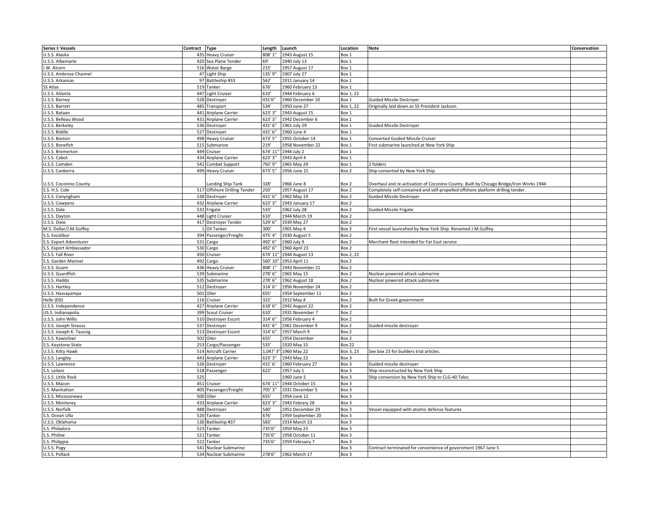| <b>Series I: Vessels</b> | Contract Type |                              | Length     | Launch            | Location      | <b>Note</b>                                                                            | Conservation |
|--------------------------|---------------|------------------------------|------------|-------------------|---------------|----------------------------------------------------------------------------------------|--------------|
| U.S.S. Alaska            | 435           | <b>Heavy Cruiser</b>         | 808'1"     | 1943 August 15    | Box 1         |                                                                                        |              |
| U.S.S. Albemarle         |               | 420 Sea Plane Tender         | 69'        | 1940 July 13      | Box 1         |                                                                                        |              |
| I.W. Alcorn              |               | 516 Water Barge              | 215'       | 1957 August 17    | Box 1         |                                                                                        |              |
| U.S.S. Ambrose Channel   |               | 47 Light Ship                | 135' 9"    | 1907 July 27      | Box 1         |                                                                                        |              |
| U.S.S. Arkansas          |               | 97 Battleship #33            | 562'       | 1911 January 14   | Box 1         |                                                                                        |              |
| SS Atlas                 |               | 519 Tanker                   | 676'       | 1960 February 13  | Box 1         |                                                                                        |              |
|                          |               |                              |            |                   |               |                                                                                        |              |
| U.S.S. Atlanta           |               | 447 Light Cruiser            | 610'       | 1944 February 6   | Box 1, 22     |                                                                                        |              |
| U.S.S. Barney            |               | 528 Destroyer                | 431'6'     | 1960 December 10  | Box 1         | <b>Guided Missile Destroyer</b>                                                        |              |
| U.S.S. Barrett           |               | 485 Transport                | 534'       | 1950 June 27      | Box 1, 22     | Originally laid down as SS President Jackson                                           |              |
| U.S.S. Bataan            |               | 441 Airplane Carrier         | 623' 3'    | 1943 August 15    | Box 1         |                                                                                        |              |
| U.S.S. Belleau Wood      |               | 431 Airplane Carrier         | 623' 3"    | 1942 December 6   | Box 1         |                                                                                        |              |
| U.S.S. Berkeley          |               | 536 Destroyer                | 431' 6"    | 1961 July 29      | Box 1         | <b>Guided Missile Destroyer</b>                                                        |              |
| U.S.S. Biddle            |               | 527 Destroyer                | 431' 6"    | 1960 June 4       | Box 1         |                                                                                        |              |
| U.S.S. Boston            |               | 498 Heavy Cruiser            | 673' 5"    | 1955 October 14   | Box 1         | Converted Guided Missile Cruiser                                                       |              |
| U.S.S. Bonefish          |               | 515 Submarine                | 219'       | 1958 November 22  | Box 1         | First submarine launched at New York Ship                                              |              |
| U.S.S. Bremerton         |               | 449 Cruiser                  | 674' 11    | 1944 July 2       | Box 1         |                                                                                        |              |
| U.S.S. Cabot             |               | 434 Airplane Carrier         | 623' 3"    | 1943 April 4      | Box 1         |                                                                                        |              |
| U.S.S. Camden            |               | 542 Combat Support           | 792' 9"    | 1965 May 29       | Box 1         | 2 folders                                                                              |              |
|                          |               |                              |            |                   |               |                                                                                        |              |
| U.S.S. Canberra          |               | 499 Heavy Cruiser            | 673' 5"    | 1956 June 15      | Box 2         | Ship converted by New York Ship                                                        |              |
|                          |               |                              |            |                   |               |                                                                                        |              |
| U.S.S. Coconino County   |               | anding Ship Tank             | 328'       | 1966 June 8       | Box 2         | Overhaul and re-activation of Coconino County. Built by Chicago Bridge/Iron Works 1944 |              |
| S.S. H.S. Cole           |               | 517 Offshore Drilling Tender | 250'       | 1957 August 17    | Box 2         | Completely self-contained and self-propelled offshore platform drilling tender.        |              |
| U.S.S. Conyngham         |               | 538 Destroyer                | 431' 6"    | 1962 May 19       | Box 2         | <b>Guided Missile Destroyer</b>                                                        |              |
| U.S.S. Cowpens           |               | 432 Airplane Carrier         | 623' 3"    | 1943 January 17   | Box 2         |                                                                                        |              |
| U.S.S. Dale              |               | 532 Frigate                  | 533'       | 1962 July 28      | Box 2         | <b>Guided Missile Frigate</b>                                                          |              |
| U.S.S. Dayton            |               | 448 Light Cruiser            | 610'       | 1944 March 19     | Box 2         |                                                                                        |              |
| U.S.S. Dixie             |               | 417 Destroyer Tender         | 529' 6"    | 1939 May 27       | Box 2         |                                                                                        |              |
| M.S. Dollar/J.M.Guffey   |               | Oil Tanker                   | 300'       | 1901 May 4        | Box 2         | First vessel launcehed by New York Ship. Renamed J.M.Guffey                            |              |
| S.S. Excalibur           |               | 394 Passenger/Freight        | 475' 4"    | 1930 August 5     | Box 2         |                                                                                        |              |
| S.S. Export Adventurer   |               | 531 Cargo                    | 492' 6"    | 1960 July 9       | Box 2         | Merchant fleet intended for Far East service                                           |              |
|                          |               |                              |            |                   |               |                                                                                        |              |
| S.S. Export Ambassador   |               | 530 Cargo                    | 492' 6"    | 1960 April 23     | Box 2         |                                                                                        |              |
| U.S.S. Fall River        |               | 450 Cruiser                  | 674' 11'   | 1944 August 13    | Box 2, 22     |                                                                                        |              |
| S.S. Garden Mariner      |               | 492 Cargo                    | 560' 10'   | 1953 April 11     | Box 2         |                                                                                        |              |
| U.S.S. Guam              |               | 436 Heavy Cruiser            | 808' 1"    | 1943 November 21  | Box 2         |                                                                                        |              |
| U.S.S. Guardfish         |               | 539 Submarine                | 278' 6"    | 1965 May 15       | Box 2         | Nuclear powered attack submarine                                                       |              |
| U.S.S. Haddo             |               | 535 Submarine                | 278' 6"    | 1962 August 18    | Box 2         | Nuclear powered attack submarine                                                       |              |
| U.S.S. Hartley           |               | 512 Destroyer                | 314' 6"    | 1956 November 24  | Box 2         |                                                                                        |              |
| U.S.S. Hassayampa        |               | 501 Oiler                    | 655'       | 1954 September 11 | Box 2         |                                                                                        |              |
| Helle (Elli)             |               | 116 Cruiser                  | 322'       | 1912 May 4        | Box 2         | Built for Greek government                                                             |              |
| U.S.S. Independence      |               | 427 Airplane Carrier         | 618' 6'    | 1942 August 22    | Box 2         |                                                                                        |              |
| US.S. Indianapolia       |               | 399 Scout Cruiser            | 610'       | 1931 November 7   | Box 2         |                                                                                        |              |
| U.S.S. John Willis       |               | 510 Destroyer Escort         | 314' 6"    | 1956 February 4   | Box 2         |                                                                                        |              |
| U.S.S. Joseph Strauss    |               | 537 Destroyer                | 431' 6"    |                   |               |                                                                                        |              |
|                          |               |                              |            | 1961 December 9   | Box 2         | Guided missile destroyer                                                               |              |
| U.S.S. Joseph K. Taussig |               | 513 Destroyer Escort         | 314' 6"    | 1957 March 9      | Box 2         |                                                                                        |              |
| U.S.S. Kawishiwi         |               | 502 Oiler                    | 655'       | 1954 December     | Box 2         |                                                                                        |              |
| S.S. Keystone State      |               | 253 Cargo/Passenger          | 535'       | 1920 May 15       | <b>Box 22</b> |                                                                                        |              |
| U.S.S. Kitty Hawk        |               | 514 Aircraft Carrier         | $1,047'$ 3 | 1960 May 22       | Box 3, 23     | See box 23 for builders trial articles.                                                |              |
| U.S.S. Langley           |               | 443 Airplane Carrier         | 623' 3"    | 1943 May 22       | Box 3         |                                                                                        |              |
| U.S.S. Lawrence          |               | 526 Destroyer                | 431'6'     | 1960 February 27  | Box 3         | Guided missile destroyer                                                               |              |
| S.S. Leilani             |               | 518 Passenger                | 622'       | 1957 July 1       | Box 3         | Ship reconstructed by New York Ship                                                    |              |
| U.S.S. Little Rock       | 525           |                              |            | 1960 June 5       | Box 3         | Ship conversion by New York Ship to CLG-40 Talos                                       |              |
| U.S.S. Macon             |               | 451 Cruiser                  | 674' 11    | 1944 October 15   | Box 3         |                                                                                        |              |
| S.S. Manhattan           |               | 405 Passenger/Freight        | 705' 3"    | 1931 December 5   | Box 3         |                                                                                        |              |
| U.S.S. Mississinewa      |               | 500 Oiler                    | 655'       | 1954 June 12      | Box 3         |                                                                                        |              |
| U.S.S. Monterey          |               | 433 Airplane Carrier         | 623' 3'    | 1943 Febrary 28   | Box 3         |                                                                                        |              |
|                          |               |                              | 540'       |                   |               |                                                                                        |              |
| U.S.S. Norfolk           |               | 488 Destroyer                |            | 1951 December 29  | Box 3         | Vessel equipped with atomic defense features                                           |              |
| S.S. Ocean Ulla          |               | 520 Tanker                   | 676'       | 1959 September 20 | Box 3         |                                                                                        |              |
| U.S.S. Oklahoma          |               | 130 Battleship #37           | 583'       | 1914 March 23     | Box 3         |                                                                                        |              |
| S.S. Philadora           |               | 523 Tanker                   | 735'6"     | 1959 May 23       | Box 3         |                                                                                        |              |
| S.S. Philine             |               | 521 Tanker                   | 735'6"     | 1958 October 11   | Box 3         |                                                                                        |              |
| S.S. Philippia           | 522           | Tanker                       | 735'6"     | 1959 February 7   | Box 3         |                                                                                        |              |
| U.S.S. Pogy              |               | 541 Nuclear Submarine        |            |                   | Box 3         | Contract terminated for convenience of government 1967 June 5                          |              |
| U.S.S. Pollack           |               | 534 Nuclear Submarine        | 278'6"     | 1962 March 17     | Box 3         |                                                                                        |              |
|                          |               |                              |            |                   |               |                                                                                        |              |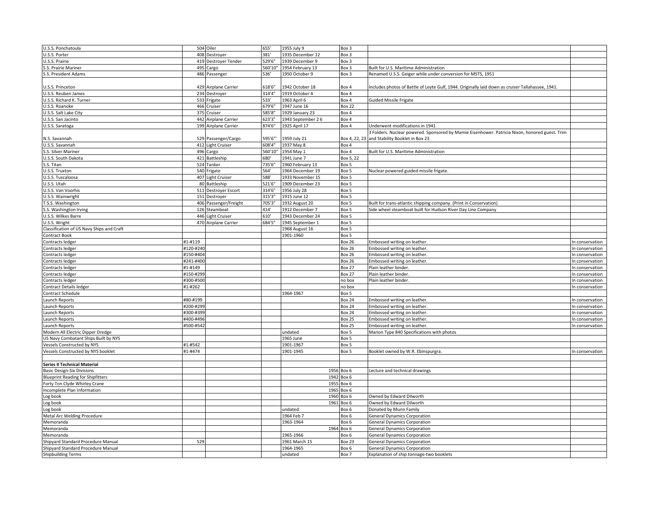| U.S.S. Ponchatoula                        |           | 504 Oiler            | 655'    | 1955 July 9       | Box 3         |                                                                                                   |                 |
|-------------------------------------------|-----------|----------------------|---------|-------------------|---------------|---------------------------------------------------------------------------------------------------|-----------------|
|                                           |           |                      |         |                   |               |                                                                                                   |                 |
| U.S.S. Porter                             |           | 408 Destroyer        | 381     | 1935 December 12  | Box 3         |                                                                                                   |                 |
| U.S.S. Prairie                            |           | 419 Destroyer Tender | 529'6'  | 1939 December 9   | Box 3         |                                                                                                   |                 |
| S.S. Prairie Mariner                      | 495       | Cargo                | 560'10" | 1954 February 13  | Box 3         | Built for U.S. Maritime Administration                                                            |                 |
| S.S. President Adams                      |           | 486 Passenger        | 536'    | 1950 October 9    | Box 3         | Renamed U.S.S. Geiger while under conversion for MSTS, 1951                                       |                 |
|                                           |           |                      |         |                   |               |                                                                                                   |                 |
| U.S.S. Princeton                          |           | 429 Airplane Carrier | 618'6"  | 1942 October 18   | Box 4         | Includes photos of Battle of Leyte Gulf, 1944. Originally laid down as cruiser Tallahassee, 1941. |                 |
| U.S.S. Reuben James                       |           | 234 Destroyer        | 314'4"  | 1919 October 4    | Box 4         |                                                                                                   |                 |
| U.S.S. Richard K. Turner                  | 533       | Frigate              | 533'    | 1963 April 6      | Box 4         | <b>Guided Missile Frigate</b>                                                                     |                 |
| U.S.S. Roanoke                            | 466       | Cruiser              | 679'6"  | 1947 June 16      | <b>Box 22</b> |                                                                                                   |                 |
| U.S.S. Salt Lake City                     | 375       | Cruiser              | 585'8"  | 1929 January 23   | Box 4         |                                                                                                   |                 |
|                                           | 442       |                      | 623'3"  | 1943 September 26 | Box 4         |                                                                                                   |                 |
| U.S.S. San Jacinto                        |           | Airplane Carrier     | 874'6"  |                   |               | Underwent modifications in 1941                                                                   |                 |
| U.S.S. Saratoga                           |           | 199 Airplane Carrier |         | 1925 April 17     | Box 4         |                                                                                                   |                 |
|                                           |           |                      |         |                   |               | 3 Folders. Nuclear powered. Sponsored by Mamie Eisenhower. Patricia Nixon, honored guest. Trim    |                 |
| N.S. Savannah                             |           | 529 Passenger/Cargo  | 595'6"  | 1959 July 21      | Box 4, 22, 23 | and Stability Booklet in Box 23                                                                   |                 |
| U.S.S. Savannah                           |           | 412 Light Cruiser    | 608'4"  | 1937 May 8        | Box 4         |                                                                                                   |                 |
| S.S. Silver Mariner                       | 496       | Cargo                | 560'10" | 1954 May 1        | Box 4         | Built for U.S. Maritime Administration                                                            |                 |
| U.S.S. South Dakota                       | 421       | Battleship           | 680'    | 1941 June 7       | Box 5, 22     |                                                                                                   |                 |
| S.S. Titan                                |           | 524 Tanker           | 735'6"  | 1960 February 13  | Box 5         |                                                                                                   |                 |
| U.S.S. Truxton                            |           | 540 Frigate          | 564'    | 1964 December 19  | Box 5         | Nuclear powered guided missile frigate.                                                           |                 |
| U.S.S. Tuscaloosa                         |           | 407 Light Cruiser    | 588'    | 1933 November 15  | Box 5         |                                                                                                   |                 |
| U.S.S. Utah                               |           | 80 Battleship        | 521'6"  | 1909 December 23  | Box 5         |                                                                                                   |                 |
| U.S.S. Van Voorhis                        |           | 511 Destroyer Escort | 314'6"  | 1956 July 28      | Box 5         |                                                                                                   |                 |
| U.S.S. Wainwright                         | 151       | Destroyer            | 315'3"  | 1915 June 12      | Box 5         |                                                                                                   |                 |
|                                           |           |                      |         |                   |               |                                                                                                   |                 |
| T.S.S. Washington                         | 406       | Passenger/Freight    | 705'3"  | 1932 August 20    | Box 5         | Built for trans-atlantic shipping company. (Print in Conservation)                                |                 |
| S.S. Washington Irving                    |           | 126 Steamboat        | 414     | 1912 December 7   | Box 5         | Side wheel steamboat built for Hudson River Day Line Company                                      |                 |
| U.S.S. Wilkes Barre                       | 446       | Light Cruiser        | 610'    | 1943 December 24  | Box 5         |                                                                                                   |                 |
| U.S.S. Wright                             |           | 470 Airplane Carrier | 684'5"  | 1945 September 1  | Box 5         |                                                                                                   |                 |
| Classification of US Navy Ships and Craft |           |                      |         | 1968 August 16    | Box 5         |                                                                                                   |                 |
| Contract Book                             |           |                      |         | 1901-1960         | Box 5         |                                                                                                   |                 |
| Contracts ledger                          | #1-#119   |                      |         |                   | <b>Box 26</b> | Embossed writing on leather.                                                                      | In conservation |
| Contracts ledger                          | #120-#240 |                      |         |                   | <b>Box 26</b> | mbossed writing on leather.                                                                       | In conservation |
| Contracts ledger                          | #150-#404 |                      |         |                   | <b>Box 26</b> | Embossed writing on leather                                                                       | In conservation |
| Contracts ledger                          | #241-#40  |                      |         |                   | 3ox 26        | Embossed writing on leather.                                                                      | In conservation |
| Contracts ledger                          | #1-#149   |                      |         |                   | <b>Box 27</b> | Plain leather binder.                                                                             | In conservation |
| Contracts ledger                          | #150-#29  |                      |         |                   | <b>Box 27</b> | Plain leather binder.                                                                             | In conservation |
| Contracts ledger                          | #300-#50  |                      |         |                   | no box        | Plain leather binder.                                                                             |                 |
|                                           |           |                      |         |                   |               |                                                                                                   | In conservation |
| Contract Details ledger                   | #1-#262   |                      |         |                   | no box        |                                                                                                   | In conservation |
| Contract Schedule                         |           |                      |         | 1964-1967         | Box 5         |                                                                                                   |                 |
| Launch Reports                            | #80-#199  |                      |         |                   | <b>Box 24</b> | Embossed writing on leather.                                                                      | In conservation |
| Launch Reports                            | #200-#29  |                      |         |                   | <b>Box 24</b> | mbossed writing on leather.                                                                       | In conservation |
| Launch Reports                            | #300-#39  |                      |         |                   | <b>Box 24</b> | Embossed writing on leather                                                                       | In conservation |
| Launch Reports                            | #400-#496 |                      |         |                   | <b>Box 25</b> | Embossed writing on leather                                                                       | In conservation |
| Launch Reports                            | #500-#542 |                      |         |                   | <b>Box 25</b> | Embossed writing on leather.                                                                      | In conservation |
| Modern All Electric Dipper Dredge         |           |                      |         | undated           | Box 5         | Marion Type 840 Specifications with photos                                                        |                 |
| US Navy Combatant Ships Built by NYS      |           |                      |         | 1965 June         | Box 5         |                                                                                                   |                 |
| <b>Vessels Constructed by NYS</b>         | #1-#542   |                      |         | 1901-1967         | Box 5         |                                                                                                   |                 |
| Vessels Constructed by NYS booklet        | #1-#474   |                      |         | 1901-1945         | Box 5         | Booklet owned by W.R. Ebinspurgra.                                                                | In conservation |
|                                           |           |                      |         |                   |               |                                                                                                   |                 |
| Series II Technical Material              |           |                      |         |                   |               |                                                                                                   |                 |
| <b>Basic Design-Six Divisions</b>         |           |                      |         |                   | 1956 Box 6    | Lecture and technical drawings                                                                    |                 |
|                                           |           |                      |         |                   |               |                                                                                                   |                 |
| <b>Blueprint Reading for Shipfitters</b>  |           |                      |         | 1942              | Box 6         |                                                                                                   |                 |
| Forty Ton Clyde Whirley Crane             |           |                      |         | 1955              | Box 6         |                                                                                                   |                 |
| Incomplete Plan Information               |           |                      |         |                   | 1965 Box 6    |                                                                                                   |                 |
| Log book                                  |           |                      |         | 1960              | Box 6         | Owned by Edward Dilworth                                                                          |                 |
| Log book                                  |           |                      |         | 1961              | Box 6         | Owned by Edward Dilworth                                                                          |                 |
| Log book                                  |           |                      |         | undated           | Box 6         | Donated by Munn Family                                                                            |                 |
| Metal Arc Welding Procedure               |           |                      |         | 1964 Feb 7        | Box 6         | <b>General Dynamics Corporation</b>                                                               |                 |
| Memoranda                                 |           |                      |         | 1963-1964         | Вох 6         | <b>General Dynamics Corporation</b>                                                               |                 |
| Memoranda                                 |           |                      |         |                   | 1964 Box 6    | <b>General Dynamics Corporation</b>                                                               |                 |
| Memoranda                                 |           |                      |         | 1965-1966         | Box 6         | <b>General Dynamics Corporation</b>                                                               |                 |
| Shipyard Standard Procedure Manual        | 529       |                      |         | 1961 March 15     | Box 23        | <b>General Dynamics Corporation</b>                                                               |                 |
| Shipyard Standard Procedure Manual        |           |                      |         | 1964-1965         | Box 6         | <b>General Dynamics Corporation</b>                                                               |                 |
|                                           |           |                      |         |                   |               |                                                                                                   |                 |
| <b>Shipbuilding Terms</b>                 |           |                      |         | undated           | Box 7         | Explanation of ship tonnage-two booklets                                                          |                 |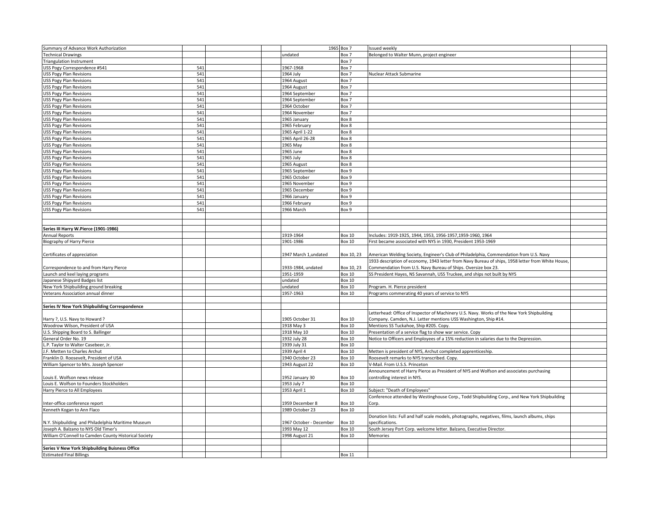| Summary of Advance Work Authorization                 |     |  |                         | 1965 Box 7    | ssued weekly                                                                                     |  |
|-------------------------------------------------------|-----|--|-------------------------|---------------|--------------------------------------------------------------------------------------------------|--|
| <b>Technical Drawings</b>                             |     |  | undated                 | Box 7         | Belonged to Walter Munn, project engineer                                                        |  |
| <b>Triangulation Instrument</b>                       |     |  |                         | Box 7         |                                                                                                  |  |
| USS Pogy Correspondence #541                          | 541 |  | 1967-1968               | Box 7         |                                                                                                  |  |
| <b>USS Pogy Plan Revisions</b>                        | 541 |  | 1964 July               | Box 7         | Nuclear Attack Submarine                                                                         |  |
| <b>USS Pogy Plan Revisions</b>                        | 541 |  | 1964 August             | Box 7         |                                                                                                  |  |
| <b>USS Pogy Plan Revisions</b>                        | 541 |  | 1964 August             | Box 7         |                                                                                                  |  |
| <b>USS Pogy Plan Revisions</b>                        | 541 |  | 1964 September          | Box 7         |                                                                                                  |  |
| <b>USS Pogy Plan Revisions</b>                        | 541 |  | 1964 September          | Box 7         |                                                                                                  |  |
| <b>USS Pogy Plan Revisions</b>                        | 541 |  | 1964 October            | Box 7         |                                                                                                  |  |
| <b>USS Pogy Plan Revisions</b>                        | 541 |  | 1964 November           | Box 7         |                                                                                                  |  |
| <b>USS Pogy Plan Revisions</b>                        | 541 |  | 1965 January            | Box 8         |                                                                                                  |  |
| <b>USS Pogy Plan Revisions</b>                        | 541 |  | 1965 February           | Box 8         |                                                                                                  |  |
| <b>USS Pogy Plan Revisions</b>                        | 541 |  | 1965 April 1-22         | Box 8         |                                                                                                  |  |
| <b>USS Pogy Plan Revisions</b>                        | 541 |  | 1965 April 26-28        | Box 8         |                                                                                                  |  |
| <b>USS Pogy Plan Revisions</b>                        | 541 |  | 1965 May                | Box 8         |                                                                                                  |  |
| <b>USS Pogy Plan Revisions</b>                        | 541 |  | 1965 June               | Box 8         |                                                                                                  |  |
| <b>USS Pogy Plan Revisions</b>                        | 541 |  | 1965 July               | Box 8         |                                                                                                  |  |
| <b>USS Pogy Plan Revisions</b>                        | 541 |  | 1965 August             | Box 8         |                                                                                                  |  |
| <b>USS Pogy Plan Revisions</b>                        | 541 |  | 1965 September          | Box 9         |                                                                                                  |  |
| <b>USS Pogy Plan Revisions</b>                        | 541 |  | 1965 October            | Box 9         |                                                                                                  |  |
| USS Pogy Plan Revisions                               | 541 |  | 1965 November           | Box 9         |                                                                                                  |  |
| <b>USS Pogy Plan Revisions</b>                        | 541 |  | 1965 December           | Box 9         |                                                                                                  |  |
| <b>USS Pogy Plan Revisions</b>                        | 541 |  | 1966 January            | Box 9         |                                                                                                  |  |
| USS Pogy Plan Revisions                               | 541 |  | 1966 February           | Box 9         |                                                                                                  |  |
| <b>USS Pogy Plan Revisions</b>                        | 541 |  | 1966 March              | Box 9         |                                                                                                  |  |
|                                                       |     |  |                         |               |                                                                                                  |  |
|                                                       |     |  |                         |               |                                                                                                  |  |
| Series III Harry W.Pierce (1901-1986)                 |     |  |                         |               |                                                                                                  |  |
| <b>Annual Reports</b>                                 |     |  | 1919-1964               | <b>Box 10</b> | ncludes: 1919-1925, 1944, 1953, 1956-1957, 1959-1960, 1964                                       |  |
| Biography of Harry Pierce                             |     |  | 1901-1986               | <b>Box 10</b> | First became associated with NYS in 1930, President 1953-1969                                    |  |
|                                                       |     |  |                         |               |                                                                                                  |  |
| Certificates of appreciation                          |     |  | 1947 March 1,undated    | Box 10, 23    | American Welding Society, Engineer's Club of Philadelphia, Commendation from U.S. Navy           |  |
|                                                       |     |  |                         |               | 1933 description of economy, 1943 letter from Navy Bureau of ships, 1958 letter from White House |  |
| Correspondence to and from Harry Pierce               |     |  | 1933-1984, undated      | Box 10, 23    | Commendation from U.S. Navy Bureau of Ships. Oversize box 23.                                    |  |
| Launch and keel laying programs                       |     |  | 1951-1959               | <b>Box 10</b> | SS President Hayes, NS Savannah, USS Truckee, and ships not built by NYS                         |  |
| Japanese Shipyard Badges list                         |     |  | undated                 | <b>Box 10</b> |                                                                                                  |  |
| New York Shipbuilding ground breaking                 |     |  | undated                 | <b>Box 10</b> | Program. H. Pierce president                                                                     |  |
| Veterans Association annual dinner                    |     |  | 1957-1963               | Box 10        | Programs commerating 40 years of service to NYS                                                  |  |
|                                                       |     |  |                         |               |                                                                                                  |  |
| Series IV New York Shipbuilding Correspondence        |     |  |                         |               |                                                                                                  |  |
|                                                       |     |  |                         |               | Letterhead: Office of Inspector of Machinery U.S. Navy. Works of the New York Shipbuilding       |  |
| Harry ?, U.S. Navy to Howard ?                        |     |  | 1905 October 31         | <b>Box 10</b> | Company. Camden, N.J. Letter mentions USS Washington, Ship #14.                                  |  |
| Woodrow Wilson, President of USA                      |     |  | 1918 May 3              | <b>Box 10</b> | Mentions SS Tuckahoe, Ship #205. Copy.                                                           |  |
| U.S. Shipping Board to S. Ballinger                   |     |  | 1918 May 10             | Box 10        | Presentation of a service flag to show war service. Copy                                         |  |
| General Order No. 19                                  |     |  | 1932 July 28            | <b>Box 10</b> | Notice to Officers and Employees of a 15% reduction in salaries due to the Depression.           |  |
| L.P. Taylor to Walter Casebeer, Jr.                   |     |  | 1939 July 31            | <b>Box 10</b> |                                                                                                  |  |
| J.F. Metten to Charles Archut                         |     |  | 1939 April 4            | <b>Box 10</b> | Metten is president of NYS, Archut completed apprenticeship.                                     |  |
| Franklin D. Roosevelt, President of USA               |     |  | 1940 October 23         | <b>Box 10</b> | Roosevelt remarks to NYS transcribed. Copy.                                                      |  |
| William Spencer to Mrs. Joseph Spencer                |     |  | 1943 August 22          | <b>Box 10</b> | /-Mail. From U.S.S. Princeton                                                                    |  |
|                                                       |     |  |                         |               | Announcement of Harry Pierce as President of NYS and Wolfson and associates purchasing           |  |
| Louis E. Wolfson news release                         |     |  | 1952 January 30         | <b>Box 10</b> | controlling interest in NYS.                                                                     |  |
| Louis E. Wolfson to Founders Stockholders             |     |  | 1953 July 7             | <b>Box 10</b> |                                                                                                  |  |
| Harry Pierce to All Employees                         |     |  | 1953 April 1            | <b>Box 10</b> | Subject: "Death of Employees"                                                                    |  |
|                                                       |     |  |                         |               | Conference attended by Westinghouse Corp., Todd Shipbuilding Corp., and New York Shipbuilding    |  |
| Inter-office conference report                        |     |  | 1959 December 8         | <b>Box 10</b> | Corp.                                                                                            |  |
| Kenneth Kogan to Ann Flaco                            |     |  | 1989 October 23         | <b>Box 10</b> |                                                                                                  |  |
|                                                       |     |  |                         |               | Donation lists: Full and half scale models, photographs, negatives, films, launch albums, ships  |  |
| N.Y. Shipbuilding and Philadelphia Maritime Museum    |     |  | 1967 October - December | <b>Box 10</b> | specifications.                                                                                  |  |
| Joseph A. Balzano to NYS Old Timer's                  |     |  | 1993 May 12             | <b>Box 10</b> | South Jersey Port Corp. welcome letter. Balzano, Executive Director.                             |  |
| William O'Connell to Camden County Historical Society |     |  | 1998 August 21          | <b>Box 10</b> | Memories                                                                                         |  |
|                                                       |     |  |                         |               |                                                                                                  |  |
| Series V New York Shipbuilding Buisness Office        |     |  |                         |               |                                                                                                  |  |
| <b>Estimated Final Billings</b>                       |     |  |                         | <b>Box 11</b> |                                                                                                  |  |
|                                                       |     |  |                         |               |                                                                                                  |  |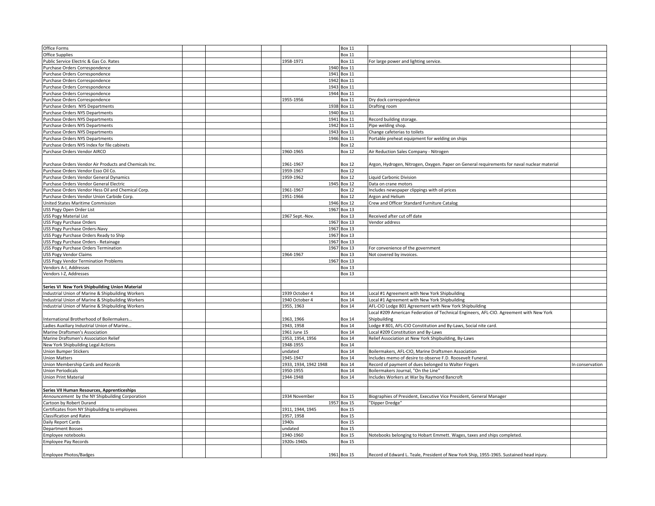| Office Forms                                           |  |                       | <b>Box 11</b> |                                                                                             |                 |
|--------------------------------------------------------|--|-----------------------|---------------|---------------------------------------------------------------------------------------------|-----------------|
| <b>Office Supplies</b>                                 |  |                       | Box 11        |                                                                                             |                 |
| Public Service Electric & Gas Co. Rates                |  | 1958-1971             | Box 11        | For large power and lighting service.                                                       |                 |
| Purchase Orders Correspondence                         |  |                       | 1940 Box 11   |                                                                                             |                 |
| Purchase Orders Correspondence                         |  |                       | 1941 Box 11   |                                                                                             |                 |
| Purchase Orders Correspondence                         |  |                       | 1942 Box 11   |                                                                                             |                 |
| Purchase Orders Correspondence                         |  | 1943                  | <b>Box 11</b> |                                                                                             |                 |
| urchase Orders Correspondence                          |  |                       | 1944 Box 11   |                                                                                             |                 |
| Purchase Orders Correspondence                         |  | 1955-1956             | Box 11        | Dry dock correspondence                                                                     |                 |
|                                                        |  |                       |               |                                                                                             |                 |
| Purchase Orders NYS Departments                        |  | 1938                  | <b>Box 11</b> | Drafting room                                                                               |                 |
| Purchase Orders NYS Departments                        |  | 1940                  | <b>Box 11</b> |                                                                                             |                 |
| Purchase Orders NYS Departments                        |  |                       | 1941 Box 11   | Record building storage.                                                                    |                 |
| Purchase Orders NYS Departments                        |  | 1942                  | <b>Box 11</b> | Pipe welding shop.                                                                          |                 |
| urchase Orders NYS Departments                         |  | 1943                  | <b>Box 11</b> | Change cafeterias to toilets                                                                |                 |
| Purchase Orders NYS Departments                        |  |                       | 1946 Box 11   | Portable preheat equipment for welding on ships                                             |                 |
| Purchase Orders NYS Index for file cabinets            |  |                       | Box 12        |                                                                                             |                 |
| Purchase Orders Vendor AIRCO                           |  | 1960-1965             | Box 12        | Air Reduction Sales Company - Nitrogen                                                      |                 |
|                                                        |  |                       |               |                                                                                             |                 |
| Purchase Orders Vendor Air Products and Chemicals Inc. |  | 1961-1967             | Box 12        | Argon, Hydrogen, Nitrogen, Oxygen. Paper on General requirements for naval nuclear material |                 |
| Purchase Orders Vendor Esso Oil Co.                    |  | 1959-1967             | <b>Box 12</b> |                                                                                             |                 |
|                                                        |  |                       |               |                                                                                             |                 |
| Purchase Orders Vendor General Dynamics                |  | 1959-1962             | Box 12        | Liquid Carbonic Division                                                                    |                 |
| Purchase Orders Vendor General Electric                |  |                       | 1945 Box 12   | Data on crane motors                                                                        |                 |
| Purchase Orders Vendor Hess Oil and Chemical Corp.     |  | 1961-1967             | Box 12        | Includes newspaper clippings with oil prices                                                |                 |
| Purchase Orders Vendor Union Carbide Corp.             |  | 1951-1966             | Box 12        | Argon and Helium                                                                            |                 |
| United States Maritime Commission                      |  | 1946                  | <b>Box 12</b> | Crew and Officer Standard Furniture Catalog                                                 |                 |
| USS Pogy Open Order List                               |  |                       | 1967 Box 13   |                                                                                             |                 |
| USS Pogy Material List                                 |  | 1967 Sept.-Nov.       | Box 13        | Received after cut off date                                                                 |                 |
| <b>USS Pogy Purchase Orders</b>                        |  | 1967                  | <b>Box 13</b> | Vendor address                                                                              |                 |
| USS Pogy Purchase Orders-Navy                          |  | 1967                  | <b>Box 13</b> |                                                                                             |                 |
| USS Pogy Purchase Orders Ready to Ship                 |  |                       | 1967 Box 13   |                                                                                             |                 |
|                                                        |  | 1967                  | <b>Box 13</b> |                                                                                             |                 |
| USS Pogy Purchase Orders - Retainage                   |  |                       |               |                                                                                             |                 |
| JSS Pogy Purchase Orders Termination                   |  |                       | 1967 Box 13   | For convenience of the government                                                           |                 |
| <b>USS Pogy Vendor Claims</b>                          |  | 1964-1967             | Box 13        | Not covered by invoices.                                                                    |                 |
| <b>USS Pogy Vendor Termination Problems</b>            |  |                       | 1967 Box 13   |                                                                                             |                 |
| Vendors A-I, Addresses                                 |  |                       | Box 13        |                                                                                             |                 |
| Vendors I-Z, Addresses                                 |  |                       | Box 13        |                                                                                             |                 |
|                                                        |  |                       |               |                                                                                             |                 |
| Series VI New York Shipbuilding Union Material         |  |                       |               |                                                                                             |                 |
| ndustrial Union of Marine & Shipbuilding Workers       |  | 1939 October 4        | Box 14        | Local #1 Agreement with New York Shipbuilding                                               |                 |
| ndustrial Union of Marine & Shipbuilding Workers       |  | 1940 October 4        | <b>Box 14</b> | Local #1 Agreement with New York Shipbuilding                                               |                 |
| ndustrial Union of Marine & Shipbuilding Workers       |  | 1955, 1963            | <b>Box 14</b> | AFL-CIO Lodge 801 Agreement with New York Shipbuilding                                      |                 |
|                                                        |  |                       |               |                                                                                             |                 |
|                                                        |  |                       |               | Local #209 American Federation of Technical Engineers, AFL-CIO. Agreement with New York     |                 |
| nternational Brotherhood of Boilermakers.              |  | 1963, 1966            | Box 14        | Shipbuilding                                                                                |                 |
| Ladies Auxiliary Industrial Union of Marine            |  | 1943.1958             | Box 14        | Lodge # 801, AFL-CIO Constitution and By-Laws, Social nite card.                            |                 |
| Marine Draftsmen's Association                         |  | 1961 June 15          | Box 14        | Local #209 Constitution and By-Laws                                                         |                 |
| Marine Draftsmen's Association Relief                  |  | 1953, 1954, 1956      | <b>Box 14</b> | Relief Association at New York Shipbuilding, By-Laws                                        |                 |
| New York Shipbuilding Legal Actions                    |  | 1948-1955             | <b>Box 14</b> |                                                                                             |                 |
| <b>Union Bumper Stickers</b>                           |  | undated               | Box 14        | Boilermakers, AFL-CIO, Marine Draftsmen Association                                         |                 |
| <b>Union Matters</b>                                   |  | 1945-1947             | <b>Box 14</b> | Includes memo of desire to observe F.D. Roosevelt Funeral.                                  |                 |
| Union Membership Cards and Records                     |  | 1933, 1934, 1942 1948 | Box 14        | Record of payment of dues belonged to Walter Fingers                                        | In conservation |
| <b>Union Periodicals</b>                               |  | 1950-1955             | Box 14        | Boilermakers Journal, "On the Line"                                                         |                 |
| Union Print Material                                   |  | 1944-1948             | <b>Box 14</b> | Includes Workers at War by Raymond Bancroft                                                 |                 |
|                                                        |  |                       |               |                                                                                             |                 |
|                                                        |  |                       |               |                                                                                             |                 |
| Series VII Human Resources, Apprenticeships            |  |                       |               |                                                                                             |                 |
| Announcement by the NY Shipbuilding Corporation        |  | 1934 November         | <b>Box 15</b> | Biographies of President, Executive Vice President, General Manager                         |                 |
| Cartoon by Robert Durand                               |  | 1957                  | <b>Box 15</b> | "Dipper Dredge"                                                                             |                 |
| Certificates from NY Shipbuilding to employees         |  | 1911, 1944, 1945      | Box 15        |                                                                                             |                 |
| <b>Classification and Rates</b>                        |  | 1957, 1958            | <b>Box 15</b> |                                                                                             |                 |
| Daily Report Cards                                     |  | 1940s                 | <b>Box 15</b> |                                                                                             |                 |
| <b>Department Bosses</b>                               |  | undated               | Box 15        |                                                                                             |                 |
| Employee notebooks                                     |  | 1940-1960             | Box 15        | Notebooks belonging to Hobart Emmett. Wages, taxes and ships completed.                     |                 |
| <b>Employee Pay Records</b>                            |  | 1920s-1940s           | Box 15        |                                                                                             |                 |
|                                                        |  |                       |               |                                                                                             |                 |
| <b>Employee Photos/Badges</b>                          |  |                       | 1961 Box 15   | Record of Edward L. Teale, President of New York Ship, 1955-1965. Sustained head injury.    |                 |
|                                                        |  |                       |               |                                                                                             |                 |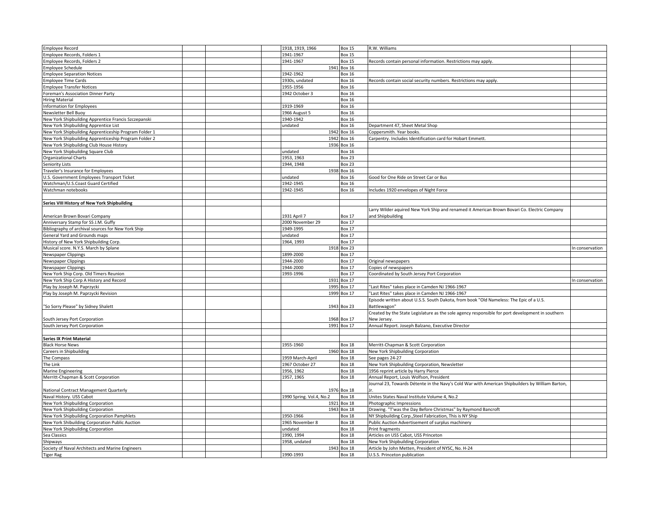| <b>Employee Record</b>                                               | 1918, 1919, 1966         | <b>Box 15</b>                | R.W. Williams                                                                                    |                 |
|----------------------------------------------------------------------|--------------------------|------------------------------|--------------------------------------------------------------------------------------------------|-----------------|
| Employee Records, Folders 1                                          | 1941-1967                | <b>Box 15</b>                |                                                                                                  |                 |
| Employee Records, Folders 2                                          | 1941-1967                | <b>Box 15</b>                | Records contain personal information. Restrictions may apply                                     |                 |
| Employee Schedule                                                    |                          | 1941 Box 16                  |                                                                                                  |                 |
| <b>Employee Separation Notices</b>                                   | 1942-1962                | <b>Box 16</b>                |                                                                                                  |                 |
| <b>Employee Time Cards</b>                                           | 1930s, undated           | <b>Box 16</b>                | Records contain social security numbers. Restrictions may apply.                                 |                 |
| <b>Employee Transfer Notices</b>                                     | 1955-1956                | Box 16                       |                                                                                                  |                 |
|                                                                      |                          |                              |                                                                                                  |                 |
| Foreman's Association Dinner Party                                   | 1942 October 3           | <b>Box 16</b>                |                                                                                                  |                 |
| <b>Hiring Material</b>                                               |                          | <b>Box 16</b>                |                                                                                                  |                 |
| Information for Employees                                            | 1919-1969                | <b>Box 16</b>                |                                                                                                  |                 |
| Newsletter Bell Buoy                                                 | 1966 August 5            | <b>Box 16</b>                |                                                                                                  |                 |
| New York Shipbuilding Apprentice Francis Szczepanski                 | 1940-1942                | <b>Box 16</b>                |                                                                                                  |                 |
| New York Shipbuilding Apprentice List                                | undated                  | <b>Box 16</b>                | Department 47, Sheet Metal Shop                                                                  |                 |
| New York Shipbuilding Apprenticeship Program Folder 1                |                          | 1942 Box 16                  | Coppersmith. Year books.                                                                         |                 |
|                                                                      |                          |                              |                                                                                                  |                 |
| New York Shipbuilding Apprenticeship Program Folder 2                |                          | 1942 Box 16                  | Carpentry. Includes Identification card for Hobart Emmett                                        |                 |
| New York Shipbuilding Club House History                             |                          | 1936 Box 16                  |                                                                                                  |                 |
| New York Shipbuilding Square Club                                    | undated                  | <b>Box 16</b>                |                                                                                                  |                 |
| Organizational Charts                                                | 1953, 1963               | <b>Box 23</b>                |                                                                                                  |                 |
| Seniority Lists                                                      | 1944, 1948               | <b>Box 23</b>                |                                                                                                  |                 |
| Traveler's Insurance for Employees                                   |                          | 1938 Box 16                  |                                                                                                  |                 |
| U.S. Government Employees Transport Ticket                           | undated                  | <b>Box 16</b>                | Good for One Ride on Street Car or Bus                                                           |                 |
| Watchman/U.S.Coast Guard Certified                                   | 1942-1945                | <b>Box 16</b>                |                                                                                                  |                 |
|                                                                      |                          |                              |                                                                                                  |                 |
| Watchman notebooks                                                   | 1942-1945                | <b>Box 16</b>                | Includes 1920 envelopes of Night Force                                                           |                 |
|                                                                      |                          |                              |                                                                                                  |                 |
| Series VIII History of New York Shipbuilding                         |                          |                              |                                                                                                  |                 |
|                                                                      |                          |                              | Larry Wilder aquired New York Ship and renamed it American Brown Bovari Co. Electric Company     |                 |
| American Brown Bovari Company                                        | 1931 April 7             | <b>Box 17</b>                | and Shiipbuilding                                                                                |                 |
| Anniversary Stamp for SS J.M. Guffy                                  | 2000 November 29         | <b>Box 17</b>                |                                                                                                  |                 |
|                                                                      | 1949-1995                | Box 17                       |                                                                                                  |                 |
| Bibliography of archival sources for New York Ship                   |                          |                              |                                                                                                  |                 |
| General Yard and Grounds maps                                        | undated                  | <b>Box 17</b>                |                                                                                                  |                 |
| listory of New York Shipbuilding Corp.                               | 1964, 1993               | <b>Box 17</b>                |                                                                                                  |                 |
| Musical score. N.Y.S. March by Splane                                |                          | 1918 Box 23                  |                                                                                                  | In conservation |
| <b>Newspaper Clippings</b>                                           | 1899-2000                | <b>Box 17</b>                |                                                                                                  |                 |
|                                                                      |                          |                              |                                                                                                  |                 |
| Newspaper Clippings                                                  | 1944-2000                | <b>Box 17</b>                | Original newspapers                                                                              |                 |
|                                                                      |                          |                              |                                                                                                  |                 |
| <b>Newspaper Clippings</b>                                           | 1944-2000                | <b>Box 17</b>                | Copies of newspapers                                                                             |                 |
| New York Ship Corp. Old Timers Reunion                               | 1993-1996                | <b>Box 17</b>                | Coordinated by South Jersey Port Corporation                                                     |                 |
| New York Ship Corp A History and Record                              |                          | 1931 Box 17                  |                                                                                                  | In conservation |
| Play by Joseph M. Paprzycki                                          |                          | 1995 Box 17                  | "Last Rites" takes place in Camden NJ 1966-1967                                                  |                 |
| Play by Joseph M. Paprzycki Revision                                 |                          | 1999 Box 17                  | "Last Rites" takes place in Camden NJ 1966-1967                                                  |                 |
|                                                                      |                          |                              | Episode written about U.S.S. South Dakota, from book "Old Nameless: The Epic of a U.S.           |                 |
| "So Sorry Please" by Sidney Shalett                                  |                          | 1943 Box 23                  | Battlewagon"                                                                                     |                 |
|                                                                      |                          |                              |                                                                                                  |                 |
|                                                                      |                          |                              | Created by the State Legislature as the sole agency responsible for port development in southern |                 |
| South Jersey Port Corporation                                        |                          | 1968 Box 17                  | New Jersey                                                                                       |                 |
| South Jersey Port Corporation                                        |                          | 1991 Box 17                  | Annual Report. Joseph Balzano, Executive Director                                                |                 |
|                                                                      |                          |                              |                                                                                                  |                 |
| <b>Series IX Print Material</b>                                      |                          |                              |                                                                                                  |                 |
| <b>Black Horse News</b>                                              | 1955-1960                | <b>Box 18</b>                | Merritt-Chapman & Scott Corporation                                                              |                 |
| Careers in Shipbuilding                                              |                          | 1960 Box 18                  | New York Shipbuilding Corporation                                                                |                 |
|                                                                      |                          | <b>Box 18</b>                | See pages 24-27                                                                                  |                 |
| The Compass                                                          | 1959 March-April         |                              |                                                                                                  |                 |
| The Link                                                             | 1967 October 27          | <b>Box 18</b>                | New York Shipbuilding Corporation, Newsletter                                                    |                 |
| <b>Marine Engineering</b>                                            | 1956, 1962               | <b>Box 18</b>                | 1956 reprint article by Harry Pierce                                                             |                 |
| Merritt-Chapman & Scott Corporation                                  | 1957, 1965               | <b>Box 18</b>                | Annual Report, Louis Wolfson, President                                                          |                 |
|                                                                      |                          |                              | Journal 23, Towards Détente in the Navy's Cold War with American Shipbuilders by William Barton, |                 |
| National Contract Management Quarterly                               |                          | 1976 Box 18                  |                                                                                                  |                 |
| Naval History. USS Cabot                                             | 1990 Spring. Vol.4, No.2 | <b>Box 18</b>                | Unites States Naval Institute Volume 4, No.2                                                     |                 |
| New York Shipbuilding Corporation                                    |                          | 1921 Box 18                  | Photographic Impressions                                                                         |                 |
|                                                                      |                          |                              |                                                                                                  |                 |
| New York Shipbuilding Corporation                                    |                          | 1943 Box 18                  | Drawing. "T'was the Day Before Christmas" by Raymond Bancroft                                    |                 |
| New York Shipbuilding Corporation Pamphlets                          | 1950-1966                | <b>Box 18</b>                | NY Shipbuilding Corp., Steel Fabrication, This is NY Ship                                        |                 |
| New York Shibuilding Corporation Public Auction                      | 1965 November 8          | <b>Box 18</b>                | Public Auction Advertisement of surplus machinery                                                |                 |
| New York Shipbuilding Corporation                                    | undated                  | <b>Box 18</b>                | Print fragments                                                                                  |                 |
| Sea Classics                                                         | 1990, 1994               | <b>Box 18</b>                | Articles on USS Cabot, USS Princeton                                                             |                 |
| Shipways                                                             | 1958, undated            | <b>Box 18</b>                | New York Shipbuilding Corporation                                                                |                 |
| Society of Naval Architects and Marine Engineers<br><b>Tiger Rag</b> | 1990-1993                | 1943 Box 18<br><b>Box 18</b> | Article by John Metten, President of NYSC, No. H-24<br>U.S.S. Princeton publication              |                 |